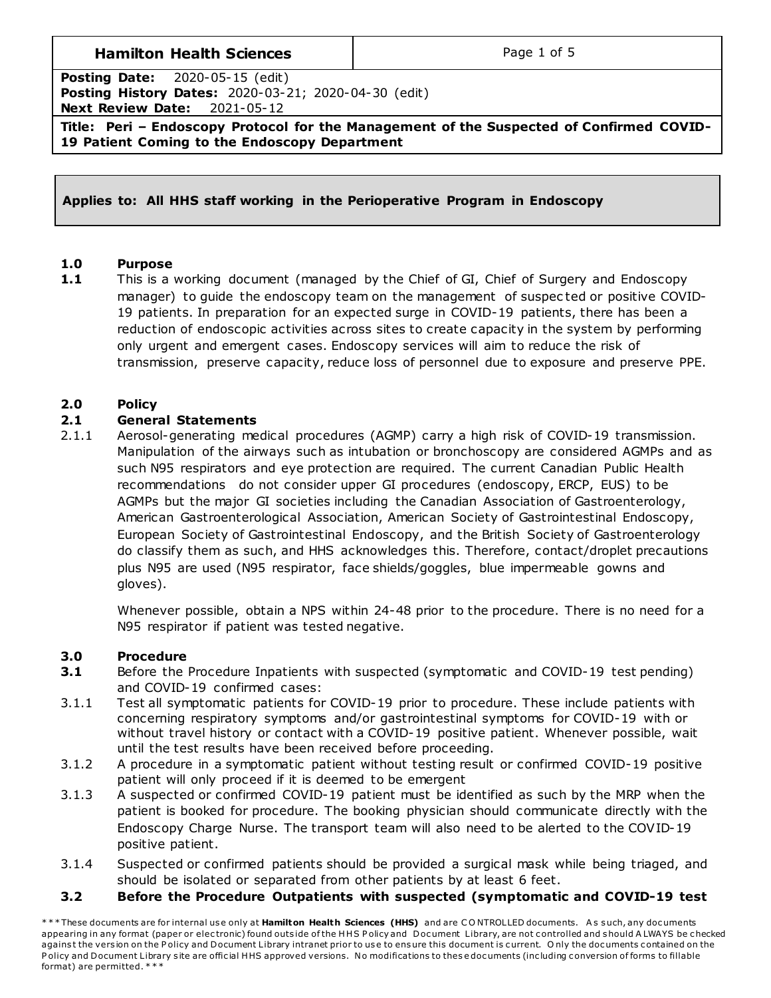## **Hamilton Health Sciences**  $\qquad$  **Page 1 of 5**

**Posting Date:** 2020-05-15 (edit) **Posting History Dates:** 2020-03-21; 2020-04-30 (edit) **Next Review Date:** 2021-05-12

**Title: Peri – Endoscopy Protocol for the Management of the Suspected of Confirmed COVID-19 Patient Coming to the Endoscopy Department**

#### **Applies to: All HHS staff working in the Perioperative Program in Endoscopy**

#### **1.0 Purpose**

**1.1** This is a working document (managed by the Chief of GI, Chief of Surgery and Endoscopy manager) to guide the endoscopy team on the management of suspec ted or positive COVID-19 patients. In preparation for an expected surge in COVID-19 patients, there has been a reduction of endoscopic activities across sites to create capacity in the system by performing only urgent and emergent cases. Endoscopy services will aim to reduce the risk of transmission, preserve capacity, reduce loss of personnel due to exposure and preserve PPE.

#### **2.0 Policy**

#### **2.1 General Statements**

2.1.1 Aerosol-generating medical procedures (AGMP) carry a high risk of COVID-19 transmission. Manipulation of the airways such as intubation or bronchoscopy are considered AGMPs and as such N95 respirators and eye protection are required. The current Canadian Public Health recommendations do not consider upper GI procedures (endoscopy, ERCP, EUS) to be AGMPs but the major GI societies including the Canadian Association of Gastroenterology, American Gastroenterological Association, American Society of Gastrointestinal Endoscopy, European Society of Gastrointestinal Endoscopy, and the British Society of Gastroenterology do classify them as such, and HHS acknowledges this. Therefore, contact/droplet precautions plus N95 are used (N95 respirator, face shields/goggles, blue impermeable gowns and gloves).

Whenever possible, obtain a NPS within 24-48 prior to the procedure. There is no need for a N95 respirator if patient was tested negative.

#### **3.0 Procedure**

- **3.1** Before the Procedure Inpatients with suspected (symptomatic and COVID-19 test pending) and COVID-19 confirmed cases:
- 3.1.1 Test all symptomatic patients for COVID-19 prior to procedure. These include patients with concerning respiratory symptoms and/or gastrointestinal symptoms for COVID-19 with or without travel history or contact with a COVID-19 positive patient. Whenever possible, wait until the test results have been received before proceeding.
- 3.1.2 A procedure in a symptomatic patient without testing result or confirmed COVID-19 positive patient will only proceed if it is deemed to be emergent
- 3.1.3 A suspected or confirmed COVID-19 patient must be identified as such by the MRP when the patient is booked for procedure. The booking physician should communicate directly with the Endoscopy Charge Nurse. The transport team will also need to be alerted to the COVID-19 positive patient.
- 3.1.4 Suspected or confirmed patients should be provided a surgical mask while being triaged, and should be isolated or separated from other patients by at least 6 feet.

#### **3.2 Before the Procedure Outpatients with suspected (symptomatic and COVID-19 test**

\* \* \* These documents are for internal use only at **Hamilton Health Sciences (HHS)** and are CONTROLLED documents. As such, any documents appearing in any format (paper or electronic) found outside of the HHS P olicy and Document Library, are not controlled and should A LWAYS be checked against the version on the Policy and Document Library intranet prior to use to ensure this document is current. Only the documents contained on the Policy and Document Library site are official HHS approved versions. No modifications to these documents (including conversion of forms to fillable format) are permitted. \* \* \*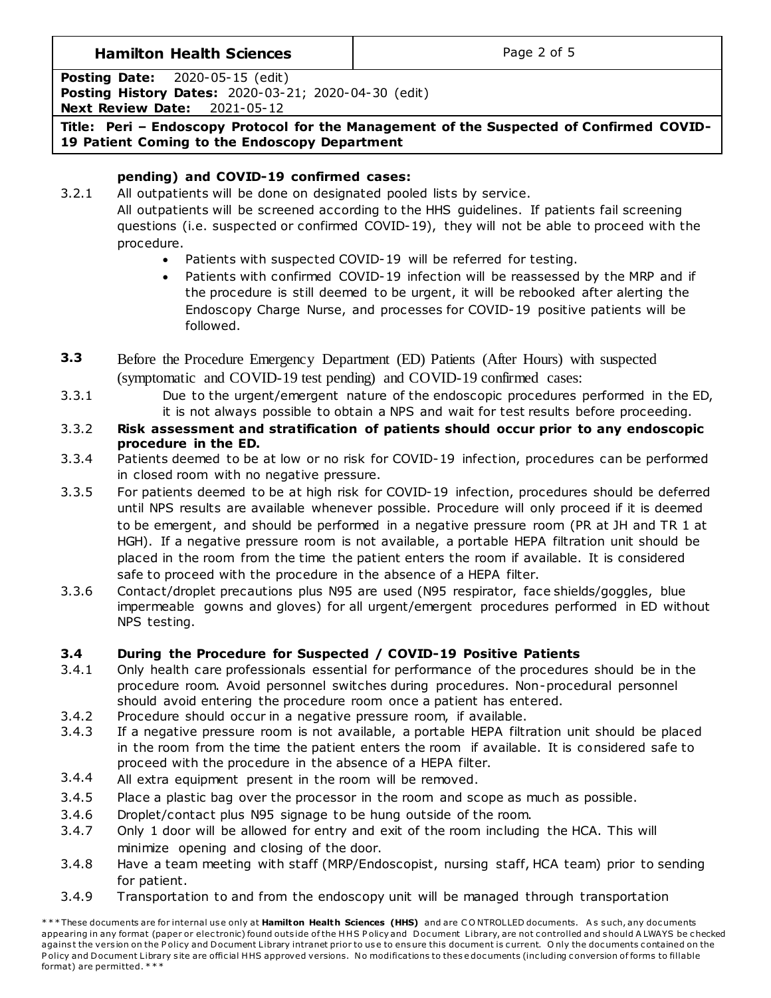# **Hamilton Health Sciences**  $\qquad$  **Page 2 of 5**

**Posting Date:** 2020-05-15 (edit)

**Posting History Dates:** 2020-03-21; 2020-04-30 (edit) **Next Review Date:** 2021-05-12

**Title: Peri – Endoscopy Protocol for the Management of the Suspected of Confirmed COVID-19 Patient Coming to the Endoscopy Department**

# **pending) and COVID-19 confirmed cases:**

3.2.1 All outpatients will be done on designated pooled lists by service.

All outpatients will be screened according to the HHS guidelines. If patients fail screening questions (i.e. suspected or confirmed COVID-19), they will not be able to proceed with the procedure.

- Patients with suspected COVID-19 will be referred for testing.
- Patients with confirmed COVID-19 infection will be reassessed by the MRP and if the procedure is still deemed to be urgent, it will be rebooked after alerting the Endoscopy Charge Nurse, and processes for COVID-19 positive patients will be followed.
- **3.3** Before the Procedure Emergency Department (ED) Patients (After Hours) with suspected (symptomatic and COVID-19 test pending) and COVID-19 confirmed cases:
- 3.3.1 Due to the urgent/emergent nature of the endoscopic procedures performed in the ED, it is not always possible to obtain a NPS and wait for test results before proceeding.
- 3.3.2 **Risk assessment and stratification of patients should occur prior to any endoscopic procedure in the ED.**
- 3.3.4 Patients deemed to be at low or no risk for COVID-19 infection, procedures can be performed in closed room with no negative pressure.
- 3.3.5 For patients deemed to be at high risk for COVID-19 infection, procedures should be deferred until NPS results are available whenever possible. Procedure will only proceed if it is deemed to be emergent, and should be performed in a negative pressure room (PR at JH and TR 1 at HGH). If a negative pressure room is not available, a portable HEPA filtration unit should be placed in the room from the time the patient enters the room if available. It is considered safe to proceed with the procedure in the absence of a HEPA filter.
- 3.3.6 Contact/droplet precautions plus N95 are used (N95 respirator, face shields/goggles, blue impermeable gowns and gloves) for all urgent/emergent procedures performed in ED without NPS testing.

# **3.4 During the Procedure for Suspected / COVID-19 Positive Patients**

- 3.4.1 Only health care professionals essential for performance of the procedures should be in the procedure room. Avoid personnel switches during procedures. Non-procedural personnel should avoid entering the procedure room once a patient has entered.
- 3.4.2 Procedure should occur in a negative pressure room, if available.
- 3.4.3 If a negative pressure room is not available, a portable HEPA filtration unit should be placed in the room from the time the patient enters the room if available. It is considered safe to proceed with the procedure in the absence of a HEPA filter.
- 3.4.4 All extra equipment present in the room will be removed.
- 3.4.5 Place a plastic bag over the processor in the room and scope as much as possible.
- 3.4.6 Droplet/contact plus N95 signage to be hung outside of the room.
- 3.4.7 Only 1 door will be allowed for entry and exit of the room including the HCA. This will minimize opening and closing of the door.
- 3.4.8 Have a team meeting with staff (MRP/Endoscopist, nursing staff, HCA team) prior to sending for patient.
- 3.4.9 Transportation to and from the endoscopy unit will be managed through transportation

\*\*\* These documents are for internal use only at Hamilton Health Sciences (HHS) and are CONTROLLED documents. As such, any documents appearing in any format (paper or electronic) found outside of the HHS Policy and Document Library, are not controlled and should A LWAYS be checked against the version on the Policy and Document Library intranet prior to use to ensure this document is current. Only the documents contained on the Policy and Document Library site are official HHS approved versions. No modifications to these documents (including conversion of forms to fillable format) are permitted. \* \* \*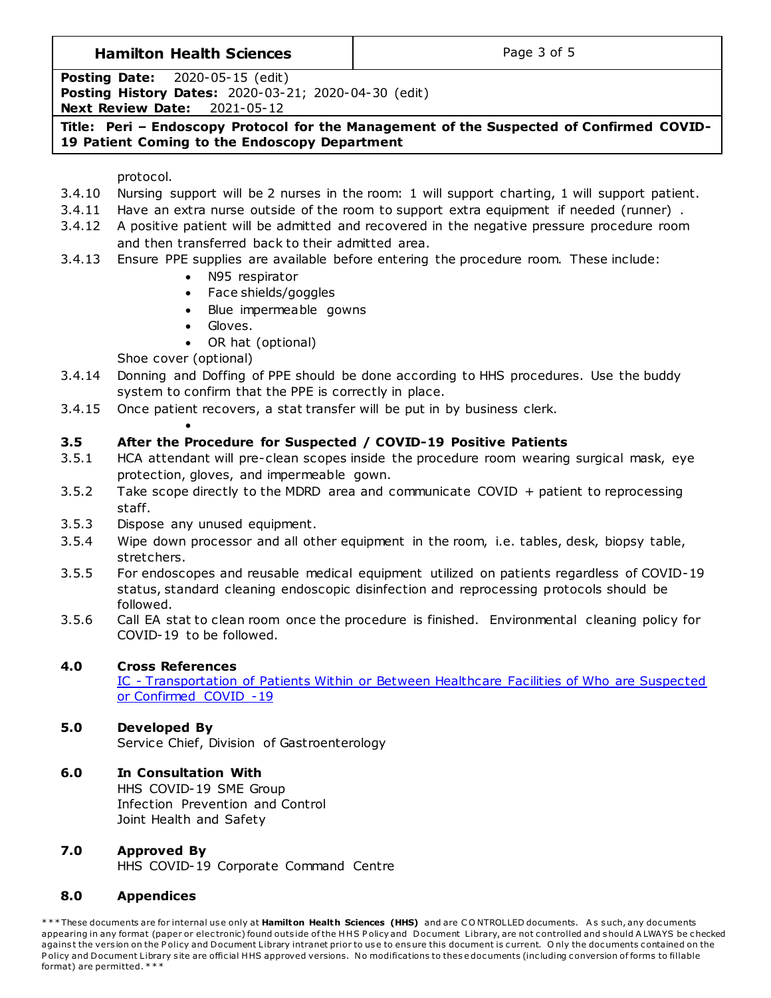#### **Hamilton Health Sciences**  $\qquad$  **Page 3 of 5**

**Posting Date:** 2020-05-15 (edit) **Posting History Dates:** 2020-03-21; 2020-04-30 (edit) **Next Review Date:** 2021-05-12

**Title: Peri – Endoscopy Protocol for the Management of the Suspected of Confirmed COVID-19 Patient Coming to the Endoscopy Department**

#### protocol.

- 3.4.10 Nursing support will be 2 nurses in the room: 1 will support charting, 1 will support patient.
- 3.4.11 Have an extra nurse outside of the room to support extra equipment if needed (runner) .
- 3.4.12 A positive patient will be admitted and recovered in the negative pressure procedure room and then transferred back to their admitted area.
- 3.4.13 Ensure PPE supplies are available before entering the procedure room. These include:
	- N95 respirator
	- Face shields/goggles
	- Blue impermeable gowns
	- Gloves.
	- OR hat (optional)

Shoe cover (optional)

 $\bullet$ 

- 3.4.14 Donning and Doffing of PPE should be done according to HHS procedures. Use the buddy system to confirm that the PPE is correctly in place.
- 3.4.15 Once patient recovers, a stat transfer will be put in by business clerk.

## **3.5 After the Procedure for Suspected / COVID-19 Positive Patients**

- 3.5.1 HCA attendant will pre-clean scopes inside the procedure room wearing surgical mask, eye protection, gloves, and impermeable gown.
- 3.5.2 Take scope directly to the MDRD area and communicate COVID + patient to reprocessing staff.
- 3.5.3 Dispose any unused equipment.
- 3.5.4 Wipe down processor and all other equipment in the room, i.e. tables, desk, biopsy table, stretchers.
- 3.5.5 For endoscopes and reusable medical equipment utilized on patients regardless of COVID-19 status, standard cleaning endoscopic disinfection and reprocessing protocols should be followed.
- 3.5.6 Call EA stat to clean room once the procedure is finished. Environmental cleaning policy for COVID-19 to be followed.

#### **4.0 Cross References**

IC - [Transportation of Patients Within or Between Healthcare Facilities of Who are Suspected](http://policy.hhsc.ca/Site_Published/hhsc/document_render.aspx?documentRender.IdType=6&documentRender.GenericField=&documentRender.Id=100159)  [or Confirmed COVID -19](http://policy.hhsc.ca/Site_Published/hhsc/document_render.aspx?documentRender.IdType=6&documentRender.GenericField=&documentRender.Id=100159)

# **5.0 Developed By**

Service Chief, Division of Gastroenterology

# **6.0 In Consultation With**

HHS COVID-19 SME Group Infection Prevention and Control Joint Health and Safety

# **7.0 Approved By**

HHS COVID-19 Corporate Command Centre

#### **8.0 Appendices**

\*\*\* These documents are for internal use only at Hamilton Health Sciences (HHS) and are CONTROLLED documents. As such, any documents appearing in any format (paper or electronic) found outside of the HHS Policy and Document Library, are not controlled and should A LWAYS be checked against the version on the Policy and Document Library intranet prior to use to ensure this document is current. Only the documents contained on the Policy and Document Library site are official HHS approved versions. No modifications to these documents (including conversion of forms to fillable format) are permitted. \* \* \*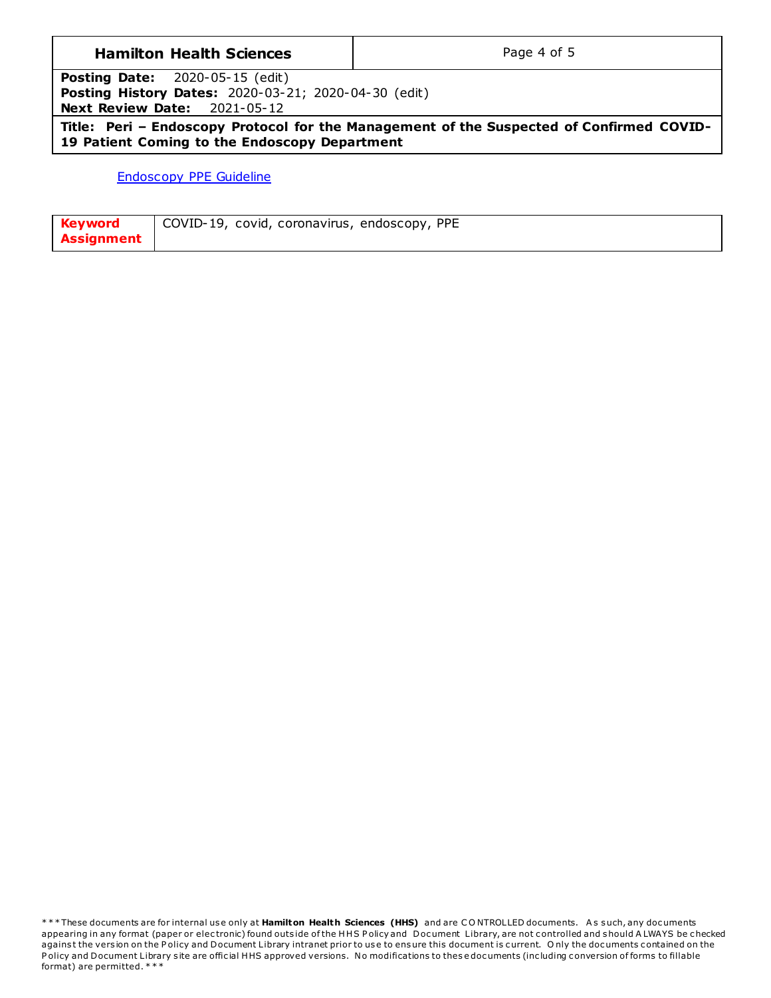#### **Hamilton Health Sciences**

Page 4 of 5

2020-05-15 (edit) **Posting Date:** Posting History Dates: 2020-03-21; 2020-04-30 (edit) **Next Review Date:** 2021-05-12

Title: Peri - Endoscopy Protocol for the Management of the Suspected of Confirmed COVID-19 Patient Coming to the Endoscopy Department

**Endoscopy PPE Guideline** 

| <b>Keyword</b>    | COVID-19, covid, coronavirus, endoscopy, PPE |
|-------------------|----------------------------------------------|
| <b>Assignment</b> |                                              |

\*\*\*These documents are for internal use only at Hamilton Health Sciences (HHS) and are CONTROLLED documents. As such, any documents appearing in any format (paper or electronic) found outside of the HHS Policy and Document Library, are not controlled and should ALWAYS be checked against the version on the Policy and Document Library intranet prior to use to ensure this document is current. Only the documents contained on the Policy and Document Library site are official HHS approved versions. No modifications to these documents (including conversion of forms to fillable format) are permitted. \*\*\*